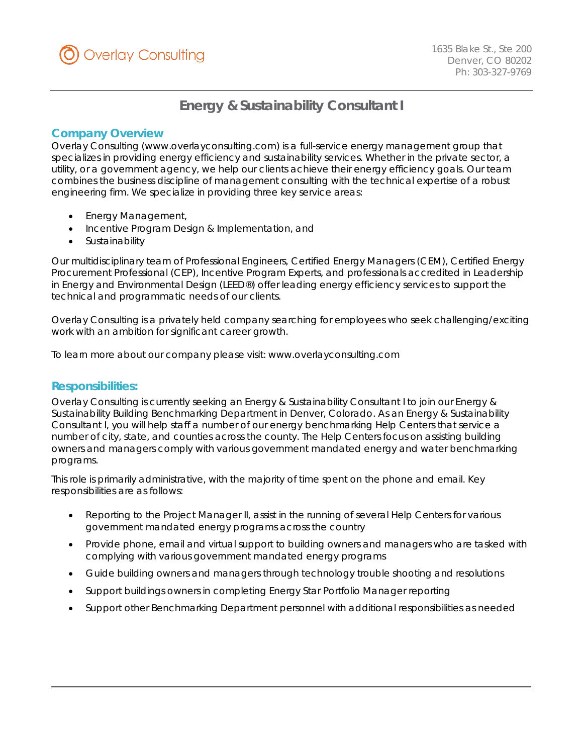

# **Energy & Sustainability Consultant I**

## *Company Overview*

Overlay Consulting (www.overlayconsulting.com) is a full-service energy management group that specializes in providing energy efficiency and sustainability services. Whether in the private sector, a utility, or a government agency, we help our clients achieve their energy efficiency goals. Our team combines the business discipline of management consulting with the technical expertise of a robust engineering firm. We specialize in providing three key service areas:

- Energy Management,
- Incentive Program Design & Implementation, and
- **Sustainability**

Our multidisciplinary team of Professional Engineers, Certified Energy Managers (CEM), Certified Energy Procurement Professional (CEP), Incentive Program Experts, and professionals accredited in Leadership in Energy and Environmental Design (LEED®) offer leading energy efficiency services to support the technical and programmatic needs of our clients.

Overlay Consulting is a privately held company searching for employees who seek challenging/exciting work with an ambition for significant career growth.

To learn more about our company please visit: www.overlayconsulting.com

### *Responsibilities:*

Overlay Consulting is currently seeking an Energy & Sustainability Consultant I to join our Energy & Sustainability Building Benchmarking Department in Denver, Colorado. As an Energy & Sustainability Consultant I, you will help staff a number of our energy benchmarking Help Centers that service a number of city, state, and counties across the county. The Help Centers focus on assisting building owners and managers comply with various government mandated energy and water benchmarking programs.

This role is primarily administrative, with the majority of time spent on the phone and email. Key responsibilities are as follows:

- Reporting to the Project Manager II, assist in the running of several Help Centers for various government mandated energy programs across the country
- Provide phone, email and virtual support to building owners and managers who are tasked with complying with various government mandated energy programs
- Guide building owners and managers through technology trouble shooting and resolutions
- Support buildings owners in completing Energy Star Portfolio Manager reporting
- Support other Benchmarking Department personnel with additional responsibilities as needed